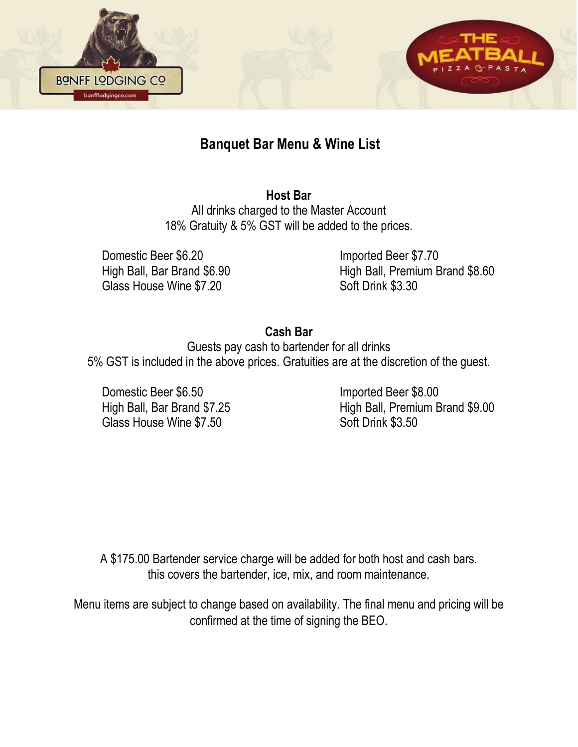



# **Banquet Bar Menu & Wine List**

**Host Bar**

All drinks charged to the Master Account 18% Gratuity & 5% GST will be added to the prices.

Domestic Beer \$6.20 Imported Beer \$7.70 Glass House Wine \$7.20 Soft Drink \$3.30

High Ball, Bar Brand \$6.90 High Ball, Premium Brand \$8.60

### **Cash Bar**

Guests pay cash to bartender for all drinks 5% GST is included in the above prices. Gratuities are at the discretion of the guest.

Domestic Beer \$6.50 Imported Beer \$8.00 Glass House Wine \$7.50 Soft Drink \$3.50

High Ball, Bar Brand \$7.25 High Ball, Premium Brand \$9.00

A \$175.00 Bartender service charge will be added for both host and cash bars. this covers the bartender, ice, mix, and room maintenance.

Menu items are subject to change based on availability. The final menu and pricing will be confirmed at the time of signing the BEO.